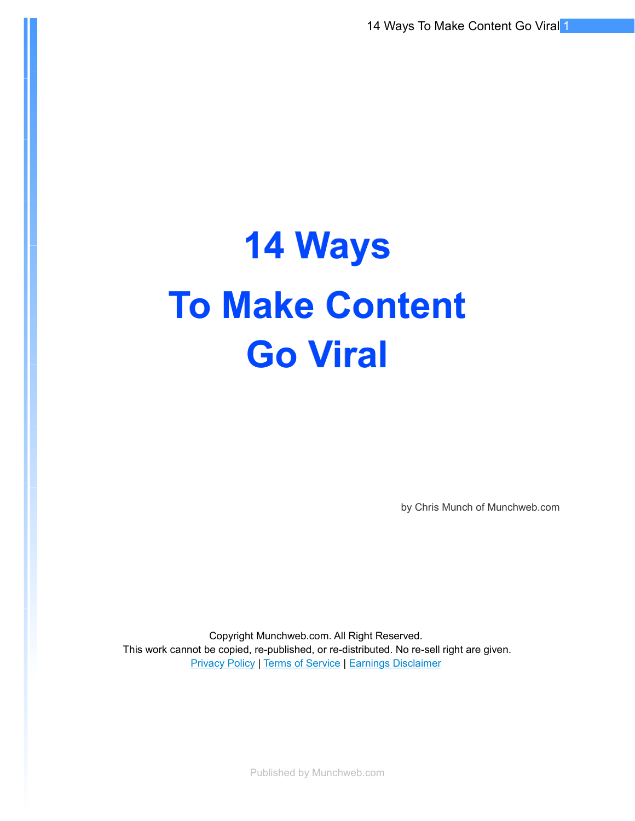14 Ways To Make Content Go Viral 1

# **14 Ways To Make Content Go Viral**

by Chris Munch of Munchweb.com

Copyright Munchweb.com. All Right Reserved. This work cannot be copied, re-published, or re-distributed. No re-sell right are given. [Privacy Policy](http://munchweb.com/terms.htm#privacy) | [Terms of Service](http://munchweb.com/terms.htm) | [Earnings Disclaimer](http://munchweb.com/terms.htm)

Published by Munchweb.com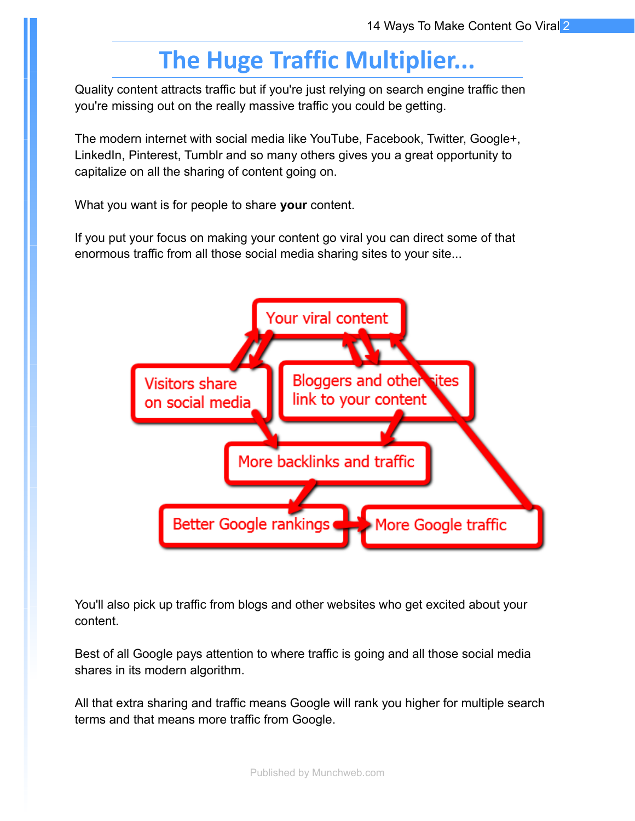# **The Huge Traffic Multiplier...**

Quality content attracts traffic but if you're just relying on search engine traffic then you're missing out on the really massive traffic you could be getting.

The modern internet with social media like YouTube, Facebook, Twitter, Google+, LinkedIn, Pinterest, Tumblr and so many others gives you a great opportunity to capitalize on all the sharing of content going on.

What you want is for people to share **your** content.

If you put your focus on making your content go viral you can direct some of that enormous traffic from all those social media sharing sites to your site...



You'll also pick up traffic from blogs and other websites who get excited about your content.

Best of all Google pays attention to where traffic is going and all those social media shares in its modern algorithm.

All that extra sharing and traffic means Google will rank you higher for multiple search terms and that means more traffic from Google.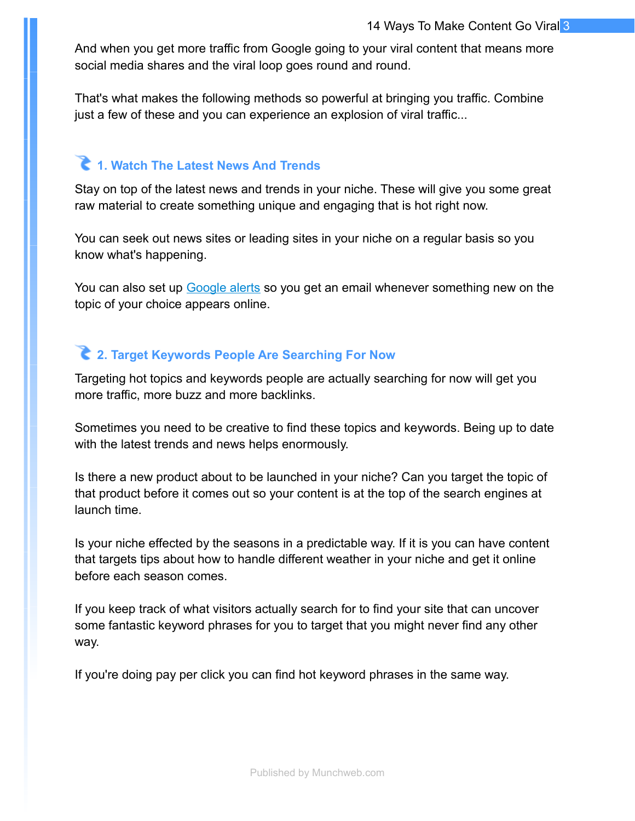And when you get more traffic from Google going to your viral content that means more social media shares and the viral loop goes round and round.

That's what makes the following methods so powerful at bringing you traffic. Combine just a few of these and you can experience an explosion of viral traffic...

# **1. Watch The Latest News And Trends**

Stay on top of the latest news and trends in your niche. These will give you some great raw material to create something unique and engaging that is hot right now.

You can seek out news sites or leading sites in your niche on a regular basis so you know what's happening.

You can also set up [Google alerts](http://www.google.com/alerts) so you get an email whenever something new on the topic of your choice appears online.

## **2. Target Keywords People Are Searching For Now**

Targeting hot topics and keywords people are actually searching for now will get you more traffic, more buzz and more backlinks.

Sometimes you need to be creative to find these topics and keywords. Being up to date with the latest trends and news helps enormously.

Is there a new product about to be launched in your niche? Can you target the topic of that product before it comes out so your content is at the top of the search engines at launch time.

Is your niche effected by the seasons in a predictable way. If it is you can have content that targets tips about how to handle different weather in your niche and get it online before each season comes.

If you keep track of what visitors actually search for to find your site that can uncover some fantastic keyword phrases for you to target that you might never find any other way.

If you're doing pay per click you can find hot keyword phrases in the same way.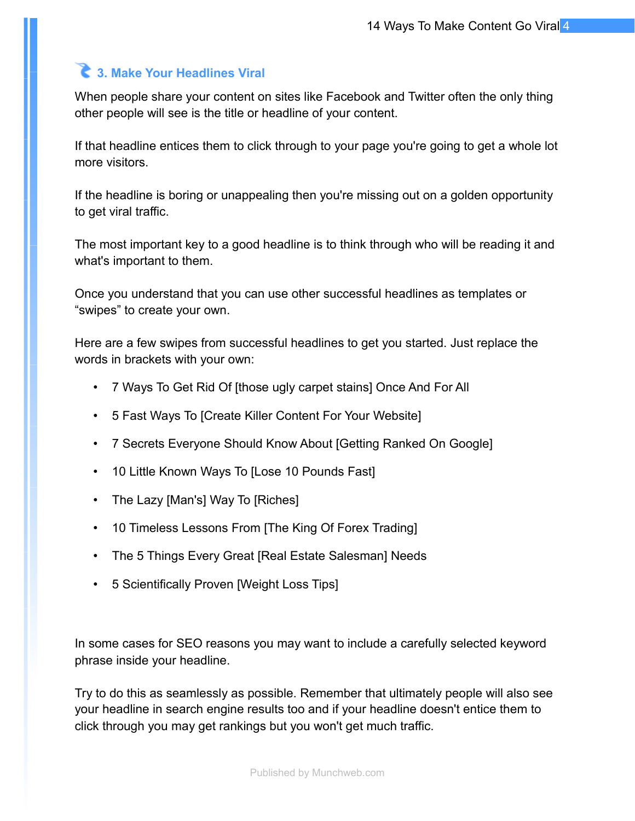# **3. Make Your Headlines Viral**

When people share your content on sites like Facebook and Twitter often the only thing other people will see is the title or headline of your content.

If that headline entices them to click through to your page you're going to get a whole lot more visitors.

If the headline is boring or unappealing then you're missing out on a golden opportunity to get viral traffic.

The most important key to a good headline is to think through who will be reading it and what's important to them.

Once you understand that you can use other successful headlines as templates or "swipes" to create your own.

Here are a few swipes from successful headlines to get you started. Just replace the words in brackets with your own:

- 7 Ways To Get Rid Of [those ugly carpet stains] Once And For All
- 5 Fast Ways To [Create Killer Content For Your Website]
- 7 Secrets Everyone Should Know About [Getting Ranked On Google]
- 10 Little Known Ways To [Lose 10 Pounds Fast]
- The Lazy [Man's] Way To [Riches]
- 10 Timeless Lessons From [The King Of Forex Trading]
- The 5 Things Every Great [Real Estate Salesman] Needs
- 5 Scientifically Proven [Weight Loss Tips]

In some cases for SEO reasons you may want to include a carefully selected keyword phrase inside your headline.

Try to do this as seamlessly as possible. Remember that ultimately people will also see your headline in search engine results too and if your headline doesn't entice them to click through you may get rankings but you won't get much traffic.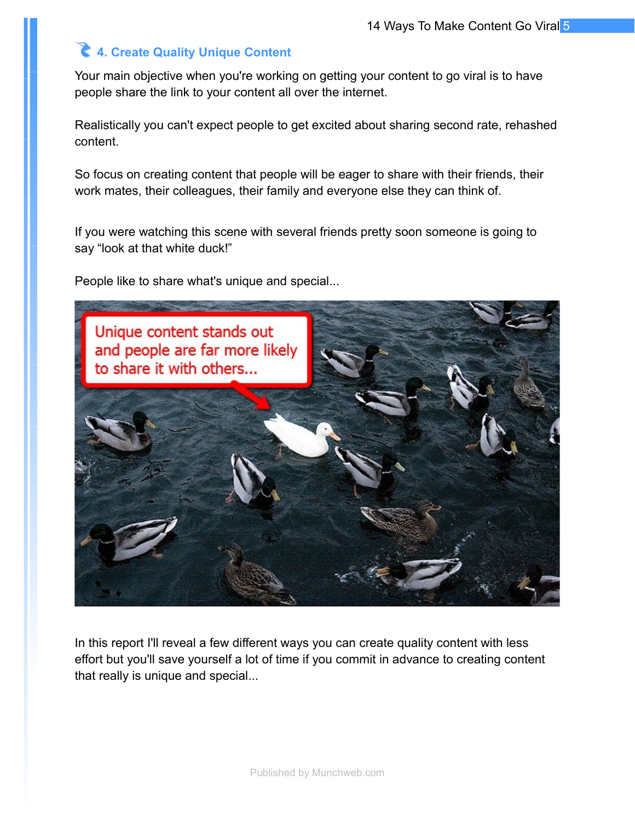# **4. Create Quality Unique Content**

Your main objective when you're working on getting your content to go viral is to have people share the link to your content all over the internet.

Realistically you can't expect people to get excited about sharing second rate, rehashed content.

So focus on creating content that people will be eager to share with their friends, their work mates, their colleagues, their family and everyone else they can think of.

If you were watching this scene with several friends pretty soon someone is going to say "look at that white duck!"

People like to share what's unique and special...



In this report I'll reveal a few different ways you can create quality content with less effort but you'll save yourself a lot of time if you commit in advance to creating content that really is unique and special...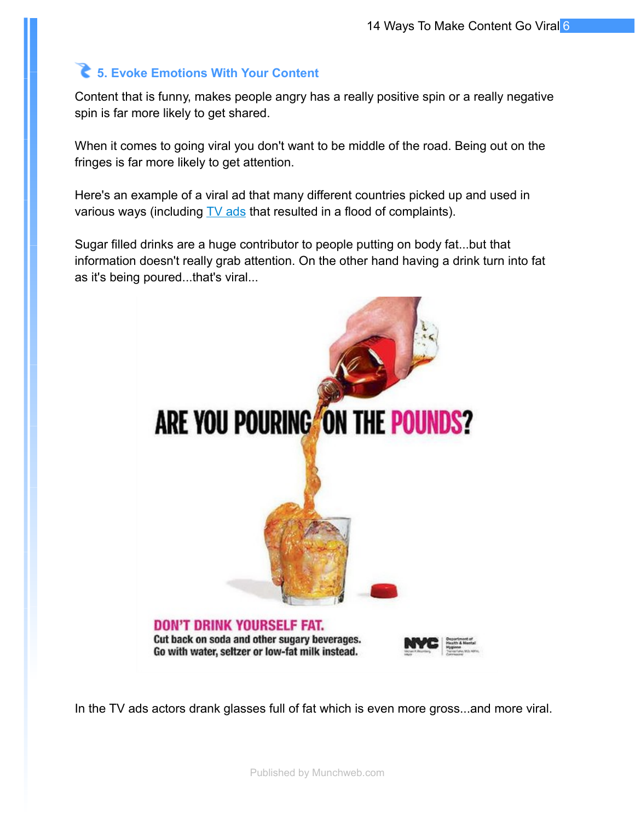# **5. Evoke Emotions With Your Content**

Content that is funny, makes people angry has a really positive spin or a really negative spin is far more likely to get shared.

When it comes to going viral you don't want to be middle of the road. Being out on the fringes is far more likely to get attention.

Here's an example of a viral ad that many different countries picked up and used in various ways (including [TV ads](https://www.youtube.com/watch?v=-F4t8zL6F0c) that resulted in a flood of complaints).

Sugar filled drinks are a huge contributor to people putting on body fat...but that information doesn't really grab attention. On the other hand having a drink turn into fat as it's being poured...that's viral...



In the TV ads actors drank glasses full of fat which is even more gross...and more viral.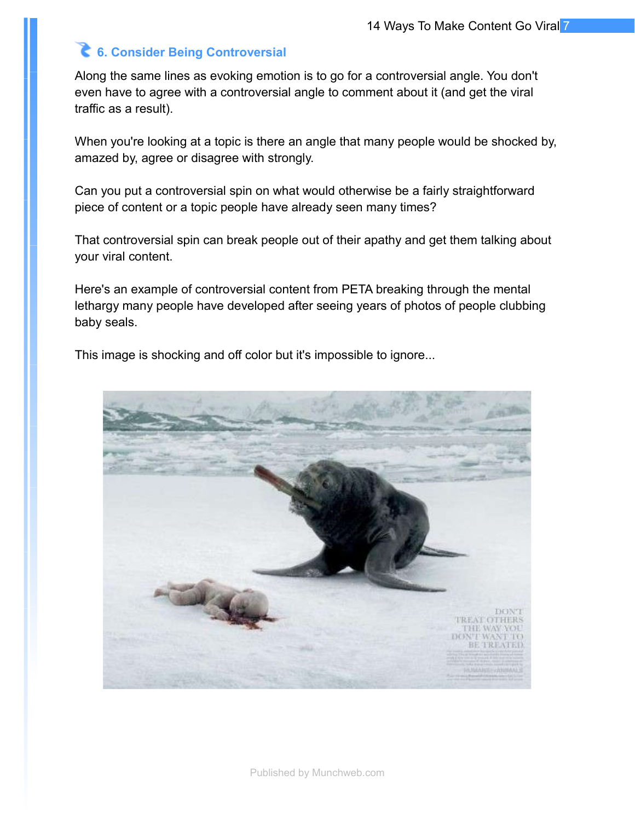# **6. Consider Being Controversial**

Along the same lines as evoking emotion is to go for a controversial angle. You don't even have to agree with a controversial angle to comment about it (and get the viral traffic as a result).

When you're looking at a topic is there an angle that many people would be shocked by, amazed by, agree or disagree with strongly.

Can you put a controversial spin on what would otherwise be a fairly straightforward piece of content or a topic people have already seen many times?

That controversial spin can break people out of their apathy and get them talking about your viral content.

Here's an example of controversial content from PETA breaking through the mental lethargy many people have developed after seeing years of photos of people clubbing baby seals.

This image is shocking and off color but it's impossible to ignore...

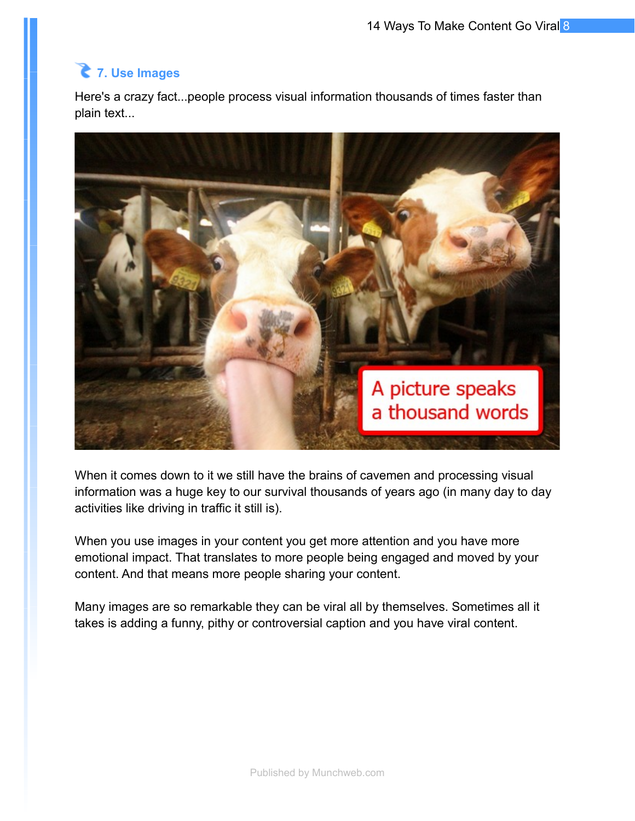# **7. Use Images**

Here's a crazy fact...people process visual information thousands of times faster than plain text...



When it comes down to it we still have the brains of cavemen and processing visual information was a huge key to our survival thousands of years ago (in many day to day activities like driving in traffic it still is).

When you use images in your content you get more attention and you have more emotional impact. That translates to more people being engaged and moved by your content. And that means more people sharing your content.

Many images are so remarkable they can be viral all by themselves. Sometimes all it takes is adding a funny, pithy or controversial caption and you have viral content.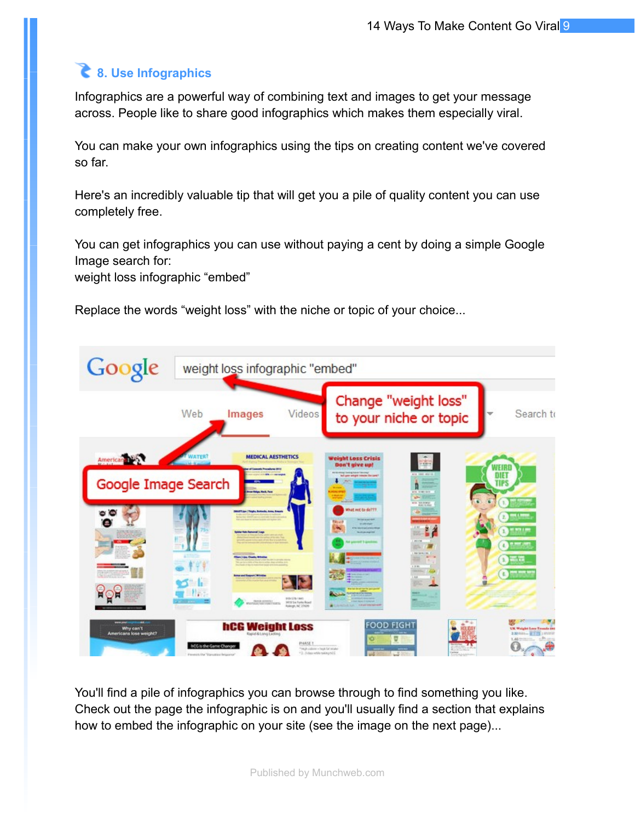# **8. Use Infographics**

Infographics are a powerful way of combining text and images to get your message across. People like to share good infographics which makes them especially viral.

You can make your own infographics using the tips on creating content we've covered so far.

Here's an incredibly valuable tip that will get you a pile of quality content you can use completely free.

You can get infographics you can use without paying a cent by doing a simple Google Image search for:

weight loss infographic "embed"

Replace the words "weight loss" with the niche or topic of your choice...



You'll find a pile of infographics you can browse through to find something you like. Check out the page the infographic is on and you'll usually find a section that explains how to embed the infographic on your site (see the image on the next page)...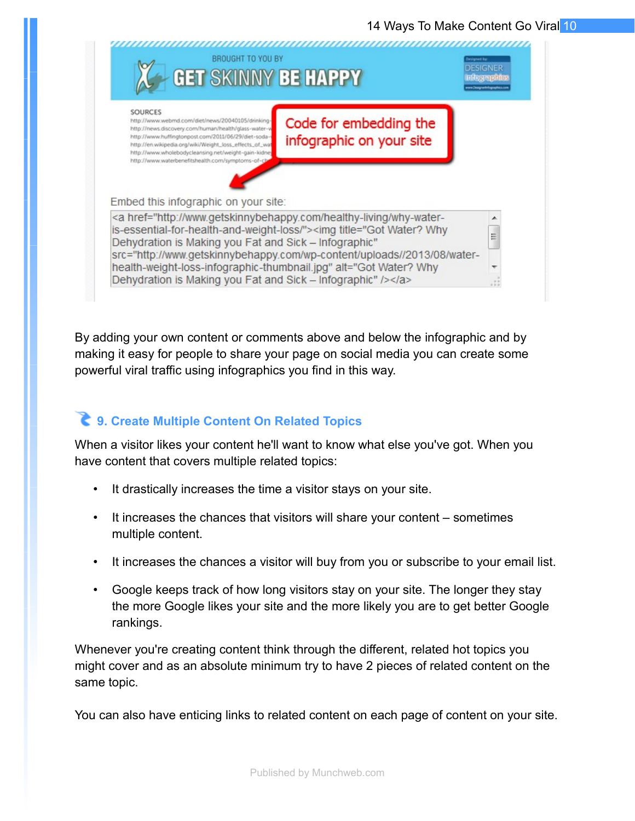#### 14 Ways To Make Content Go Viral 10



By adding your own content or comments above and below the infographic and by making it easy for people to share your page on social media you can create some powerful viral traffic using infographics you find in this way.

#### **9. Create Multiple Content On Related Topics**

When a visitor likes your content he'll want to know what else you've got. When you have content that covers multiple related topics:

- It drastically increases the time a visitor stays on your site.
- It increases the chances that visitors will share your content sometimes multiple content.
- It increases the chances a visitor will buy from you or subscribe to your email list.
- Google keeps track of how long visitors stay on your site. The longer they stay the more Google likes your site and the more likely you are to get better Google rankings.

Whenever you're creating content think through the different, related hot topics you might cover and as an absolute minimum try to have 2 pieces of related content on the same topic.

You can also have enticing links to related content on each page of content on your site.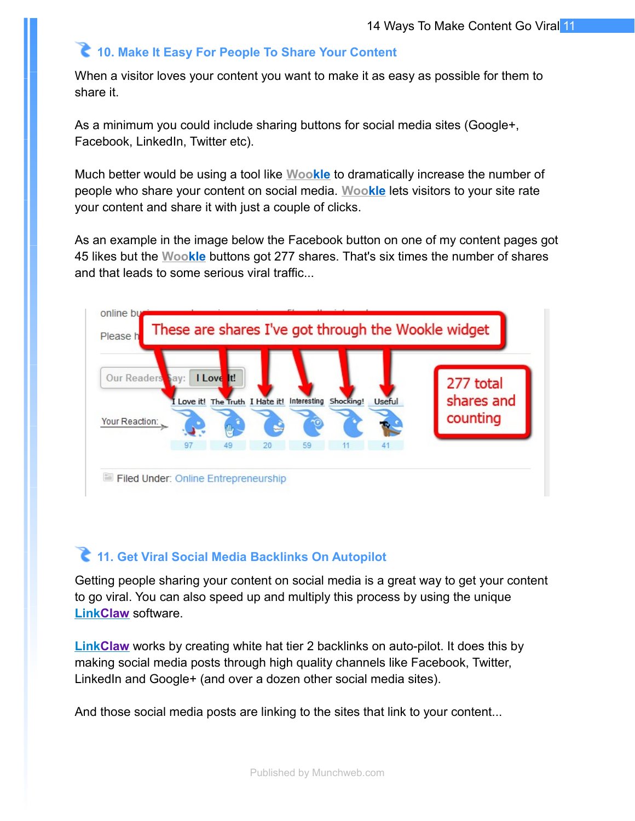#### **10. Make It Easy For People To Share Your Content**

When a visitor loves your content you want to make it as easy as possible for them to share it.

As a minimum you could include sharing buttons for social media sites (Google+, Facebook, LinkedIn, Twitter etc).

Much better would be using a tool like Wookle to dramatically increase the number of people who share your content on social media. **[Woo kle](http://www.wookle.com/)** lets visitors to your site rate your content and share it with just a couple of clicks.

As an example in the image below the Facebook button on one of my content pages got 45 likes but the Wookle buttons got 277 shares. That's six times the number of shares and that leads to some serious viral traffic...



# **11. Get Viral Social Media Backlinks On Autopilot**

Getting people sharing your content on social media is a great way to get your content to go viral. You can also speed up and multiply this process by using the unique  **[Link Claw](http://www.linkclaw.com/)** software.

 **[Link Claw](http://www.linkclaw.com/)** works by creating white hat tier 2 backlinks on auto-pilot. It does this by making social media posts through high quality channels like Facebook, Twitter, LinkedIn and Google+ (and over a dozen other social media sites).

And those social media posts are linking to the sites that link to your content...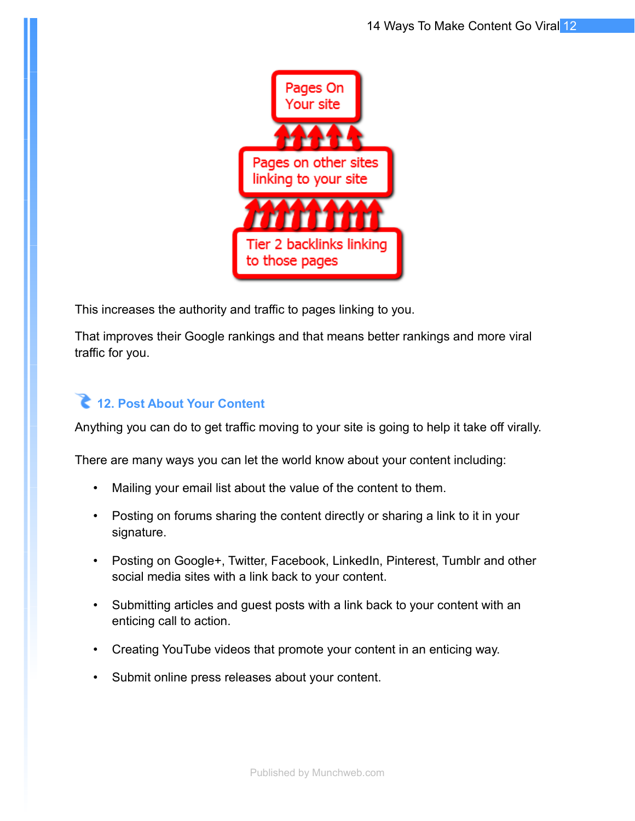

This increases the authority and traffic to pages linking to you.

That improves their Google rankings and that means better rankings and more viral traffic for you.

# **12. Post About Your Content**

Anything you can do to get traffic moving to your site is going to help it take off virally.

There are many ways you can let the world know about your content including:

- Mailing your email list about the value of the content to them.
- Posting on forums sharing the content directly or sharing a link to it in your signature.
- Posting on Google+, Twitter, Facebook, LinkedIn, Pinterest, Tumblr and other social media sites with a link back to your content.
- Submitting articles and guest posts with a link back to your content with an enticing call to action.
- Creating YouTube videos that promote your content in an enticing way.
- Submit online press releases about your content.